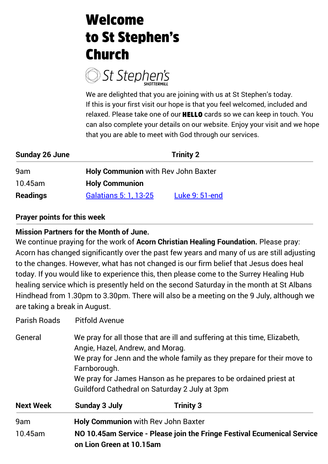## **Welcome** to St Stephen's **Church**



We are delighted that you are joining with us at St Stephen's today. If this is your first visit our hope is that you feel welcomed, included and relaxed. Please take one of our **HELLO** cards so we can keep in touch. You can also complete your details on our website. Enjoy your visit and we hope that you are able to meet with God through our services.

| <b>Sunday 26 June</b> |                                            | <b>Trinity 2</b> |  |
|-----------------------|--------------------------------------------|------------------|--|
| 9am                   | <b>Holy Communion with Rev John Baxter</b> |                  |  |
| 10.45am               | <b>Holy Communion</b>                      |                  |  |
| <b>Readings</b>       | Galatians 5: 1, 13-25                      | Luke 9: 51-end   |  |

#### **Prayer points for this week**

#### **Mission Partners for the Month of June.**

We continue praying for the work of **Acorn Christian Healing Foundation.** Please pray: Acorn has changed significantly over the past few years and many of us are still adjusting to the changes. However, what has not changed is our firm belief that Jesus does heal today. If you would like to experience this, then please come to the Surrey Healing Hub healing service which is presently held on the second Saturday in the month at St Albans Hindhead from 1.30pm to 3.30pm. There will also be a meeting on the 9 July, although we are taking a break in August.

| <b>Parish Roads</b> | <b>Pitfold Avenue</b>                                                                                                                                                                                                                                                                                                         |                  |  |  |
|---------------------|-------------------------------------------------------------------------------------------------------------------------------------------------------------------------------------------------------------------------------------------------------------------------------------------------------------------------------|------------------|--|--|
| General             | We pray for all those that are ill and suffering at this time, Elizabeth,<br>Angie, Hazel, Andrew, and Morag.<br>We pray for Jenn and the whole family as they prepare for their move to<br>Farnborough.<br>We pray for James Hanson as he prepares to be ordained priest at<br>Guildford Cathedral on Saturday 2 July at 3pm |                  |  |  |
| <b>Next Week</b>    | <b>Sunday 3 July</b>                                                                                                                                                                                                                                                                                                          | <b>Trinity 3</b> |  |  |
| 9am                 | <b>Holy Communion with Rev John Baxter</b>                                                                                                                                                                                                                                                                                    |                  |  |  |
| 10.45am             | NO 10.45am Service - Please join the Fringe Festival Ecumenical Service<br>on Lion Green at 10.15am                                                                                                                                                                                                                           |                  |  |  |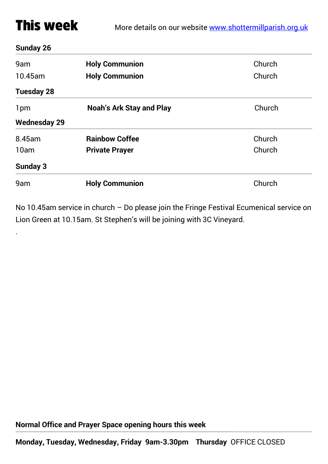## **This week**

#### **Sunday 26**

.

| 9am<br>10.45am      | <b>Holy Communion</b><br><b>Holy Communion</b> | Church<br>Church |  |  |
|---------------------|------------------------------------------------|------------------|--|--|
| <b>Tuesday 28</b>   |                                                |                  |  |  |
| 1pm                 | <b>Noah's Ark Stay and Play</b>                | Church           |  |  |
| <b>Wednesday 29</b> |                                                |                  |  |  |
| 8.45am              | <b>Rainbow Coffee</b>                          | Church           |  |  |
| 10am                | <b>Private Prayer</b>                          | Church           |  |  |
| <b>Sunday 3</b>     |                                                |                  |  |  |
| 9am                 | <b>Holy Communion</b>                          | Church           |  |  |

No 10.45am service in church – Do please join the Fringe Festival Ecumenical service on Lion Green at 10.15am. St Stephen's will be joining with 3C Vineyard.

**Normal Office and Prayer Space opening hours this week**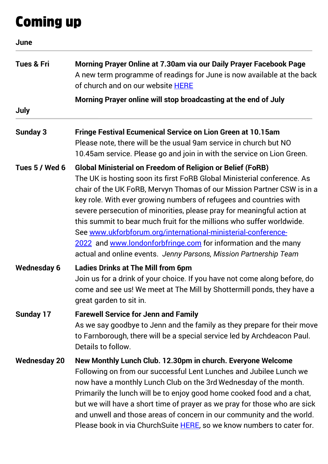## **Coming up**

| June                  |                                                                                                                                                                                                                                                                                                                                                                                                                                                                                                                                                                                                                                                         |  |  |
|-----------------------|---------------------------------------------------------------------------------------------------------------------------------------------------------------------------------------------------------------------------------------------------------------------------------------------------------------------------------------------------------------------------------------------------------------------------------------------------------------------------------------------------------------------------------------------------------------------------------------------------------------------------------------------------------|--|--|
| <b>Tues &amp; Fri</b> | Morning Prayer Online at 7.30am via our Daily Prayer Facebook Page<br>A new term programme of readings for June is now available at the back<br>of church and on our website HERE<br>Morning Prayer online will stop broadcasting at the end of July                                                                                                                                                                                                                                                                                                                                                                                                    |  |  |
|                       |                                                                                                                                                                                                                                                                                                                                                                                                                                                                                                                                                                                                                                                         |  |  |
| July                  |                                                                                                                                                                                                                                                                                                                                                                                                                                                                                                                                                                                                                                                         |  |  |
| <b>Sunday 3</b>       | <b>Fringe Festival Ecumenical Service on Lion Green at 10.15am</b><br>Please note, there will be the usual 9am service in church but NO<br>10.45am service. Please go and join in with the service on Lion Green.                                                                                                                                                                                                                                                                                                                                                                                                                                       |  |  |
| Tues 5 / Wed 6        | <b>Global Ministerial on Freedom of Religion or Belief (FoRB)</b><br>The UK is hosting soon its first FoRB Global Ministerial conference. As<br>chair of the UK FoRB, Mervyn Thomas of our Mission Partner CSW is in a<br>key role. With ever growing numbers of refugees and countries with<br>severe persecution of minorities, please pray for meaningful action at<br>this summit to bear much fruit for the millions who suffer worldwide.<br>See www.ukforbforum.org/international-ministerial-conference-<br>2022 and www.londonforbfringe.com for information and the many<br>actual and online events. Jenny Parsons, Mission Partnership Team |  |  |
| <b>Wednesday 6</b>    | <b>Ladies Drinks at The Mill from 6pm</b><br>Join us for a drink of your choice. If you have not come along before, do<br>come and see us! We meet at The Mill by Shottermill ponds, they have a<br>great garden to sit in.                                                                                                                                                                                                                                                                                                                                                                                                                             |  |  |
| <b>Sunday 17</b>      | <b>Farewell Service for Jenn and Family</b><br>As we say goodbye to Jenn and the family as they prepare for their move<br>to Farnborough, there will be a special service led by Archdeacon Paul.<br>Details to follow.                                                                                                                                                                                                                                                                                                                                                                                                                                 |  |  |
| <b>Wednesday 20</b>   | New Monthly Lunch Club. 12.30pm in church. Everyone Welcome<br>Following on from our successful Lent Lunches and Jubilee Lunch we<br>now have a monthly Lunch Club on the 3rd Wednesday of the month.<br>Primarily the lunch will be to enjoy good home cooked food and a chat,<br>but we will have a short time of prayer as we pray for those who are sick<br>and unwell and those areas of concern in our community and the world.<br>Please book in via ChurchSuite HERE, so we know numbers to cater for.                                                                                                                                          |  |  |